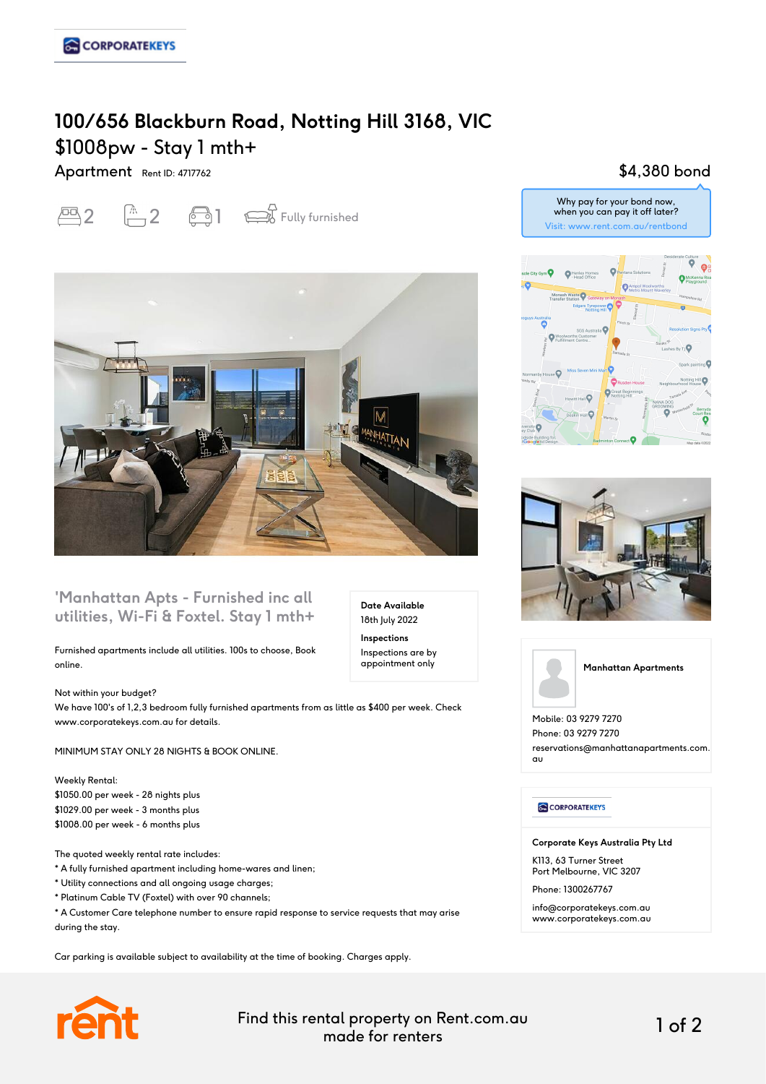# **100/656 Blackburn Road, Notting Hill 3168, VIC** \$1008pw - Stay 1 mth+

Apartment Rent ID: 4717762

 $\overline{2}$   $\overline{1}$   $\overline{2}$   $\overline{3}$  Fully furnished



### **'Manhattan Apts - Furnished inc all utilities, Wi-Fi & Foxtel. Stay 1 mth+**

Furnished apartments include all utilities. 100s to choose, Book online.

Not within your budget? We have 100's of 1,2,3 bedroom fully furnished apartments from as little as \$400 per week. Check www.corporatekeys.com.au for details.

MINIMUM STAY ONLY 28 NIGHTS & BOOK ONLINE.

Weekly Rental: \$1050.00 per week - 28 nights plus \$1029.00 per week - 3 months plus \$1008.00 per week - 6 months plus

The quoted weekly rental rate includes:

- \* A fully furnished apartment including home-wares and linen;
- \* Utility connections and all ongoing usage charges;
- \* Platinum Cable TV (Foxtel) with over 90 channels;

\* A Customer Care telephone number to ensure rapid response to service requests that may arise during the stay.

Car parking is available subject to availability at the time of booking. Charges apply.



Find this rental property on Rent.com.au made for renters 1 of 2

**Date Available** 18th July 2022 **Inspections** Inspections are by appointment only

## \$4,380 bond







Mobile: 03 9279 7270 Phone: 03 9279 7270 reservations@manhattanapartments.com. au

### **CORPORATEKEYS**

**Corporate Keys Australia Pty Ltd**

K113, 63 Turner Street Port Melbourne, VIC 3207

Phone: 1300267767

info@corporatekeys.com.au www.corporatekeys.com.au